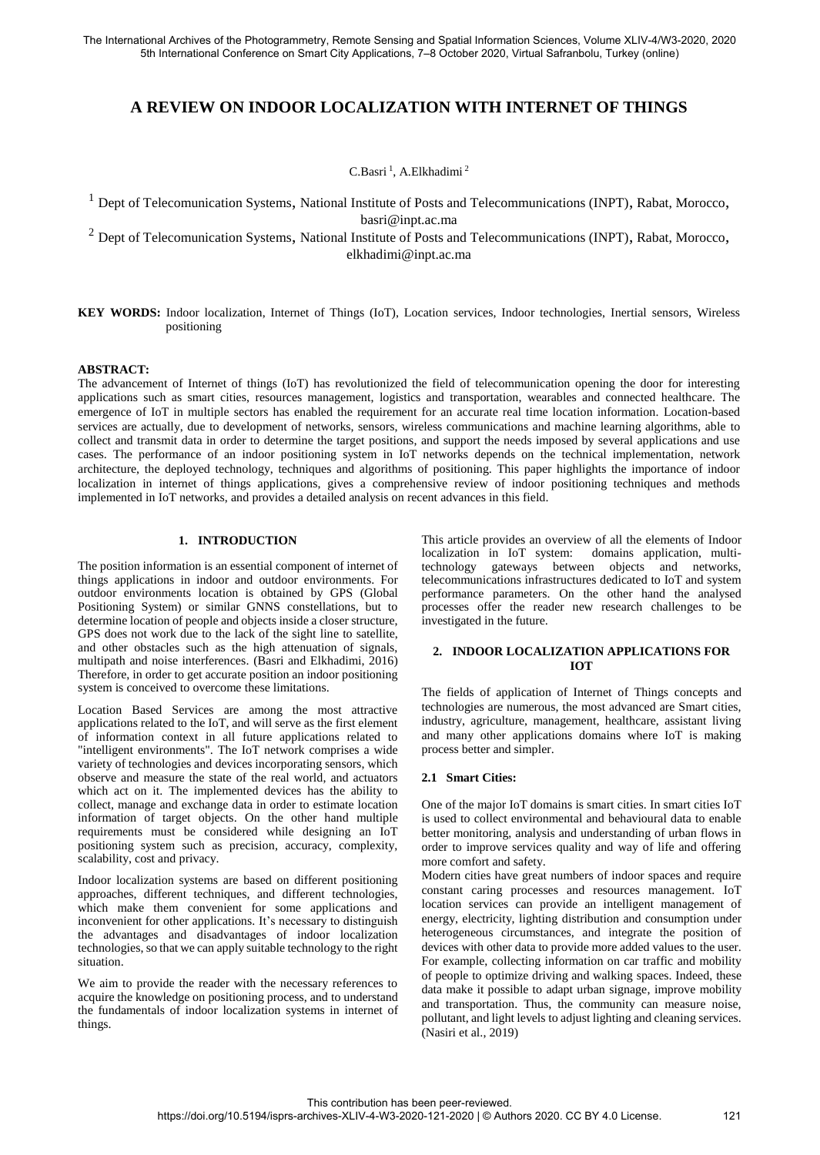# **A REVIEW ON INDOOR LOCALIZATION WITH INTERNET OF THINGS**

C.Basri<sup>1</sup>, A.Elkhadimi<sup>2</sup>

 $<sup>1</sup>$  Dept of Telecomunication Systems, National Institute of Posts and Telecommunications (INPT), Rabat, Morocco,</sup> basri@inpt.ac.ma

<sup>2</sup> Dept of Telecomunication Systems, National Institute of Posts and Telecommunications (INPT), Rabat, Morocco, elkhadimi@inpt.ac.ma

**KEY WORDS:** Indoor localization, Internet of Things (IoT), Location services, Indoor technologies, Inertial sensors, Wireless positioning

#### **ABSTRACT:**

The advancement of Internet of things (IoT) has revolutionized the field of telecommunication opening the door for interesting applications such as smart cities, resources management, logistics and transportation, wearables and connected healthcare. The emergence of IoT in multiple sectors has enabled the requirement for an accurate real time location information. Location-based services are actually, due to development of networks, sensors, wireless communications and machine learning algorithms, able to collect and transmit data in order to determine the target positions, and support the needs imposed by several applications and use cases. The performance of an indoor positioning system in IoT networks depends on the technical implementation, network architecture, the deployed technology, techniques and algorithms of positioning. This paper highlights the importance of indoor localization in internet of things applications, gives a comprehensive review of indoor positioning techniques and methods implemented in IoT networks, and provides a detailed analysis on recent advances in this field.

# **1. INTRODUCTION**

The position information is an essential component of internet of things applications in indoor and outdoor environments. For outdoor environments location is obtained by GPS (Global Positioning System) or similar GNNS constellations, but to determine location of people and objects inside a closer structure, GPS does not work due to the lack of the sight line to satellite, and other obstacles such as the high attenuation of signals, multipath and noise interferences. (Basri and Elkhadimi, 2016) Therefore, in order to get accurate position an indoor positioning system is conceived to overcome these limitations.

Location Based Services are among the most attractive applications related to the IoT, and will serve as the first element of information context in all future applications related to "intelligent environments". The IoT network comprises a wide variety of technologies and devices incorporating sensors, which observe and measure the state of the real world, and actuators which act on it. The implemented devices has the ability to collect, manage and exchange data in order to estimate location information of target objects. On the other hand multiple requirements must be considered while designing an IoT positioning system such as precision, accuracy, complexity, scalability, cost and privacy.

Indoor localization systems are based on different positioning approaches, different techniques, and different technologies, which make them convenient for some applications and inconvenient for other applications. It's necessary to distinguish the advantages and disadvantages of indoor localization technologies, so that we can apply suitable technology to the right situation.

We aim to provide the reader with the necessary references to acquire the knowledge on positioning process, and to understand the fundamentals of indoor localization systems in internet of things.

This article provides an overview of all the elements of Indoor localization in IoT system: domains application, multitechnology gateways between objects and networks, telecommunications infrastructures dedicated to IoT and system performance parameters. On the other hand the analysed processes offer the reader new research challenges to be investigated in the future.

### **2. INDOOR LOCALIZATION APPLICATIONS FOR IOT**

The fields of application of Internet of Things concepts and technologies are numerous, the most advanced are Smart cities, industry, agriculture, management, healthcare, assistant living and many other applications domains where IoT is making process better and simpler.

#### **2.1 Smart Cities:**

One of the major IoT domains is smart cities. In smart cities IoT is used to collect environmental and behavioural data to enable better monitoring, analysis and understanding of urban flows in order to improve services quality and way of life and offering more comfort and safety.

Modern cities have great numbers of indoor spaces and require constant caring processes and resources management. IoT location services can provide an intelligent management of energy, electricity, lighting distribution and consumption under heterogeneous circumstances, and integrate the position of devices with other data to provide more added values to the user. For example, collecting information on car traffic and mobility of people to optimize driving and walking spaces. Indeed, these data make it possible to adapt urban signage, improve mobility and transportation. Thus, the community can measure noise, pollutant, and light levels to adjust lighting and cleaning services. (Nasiri et al., 2019)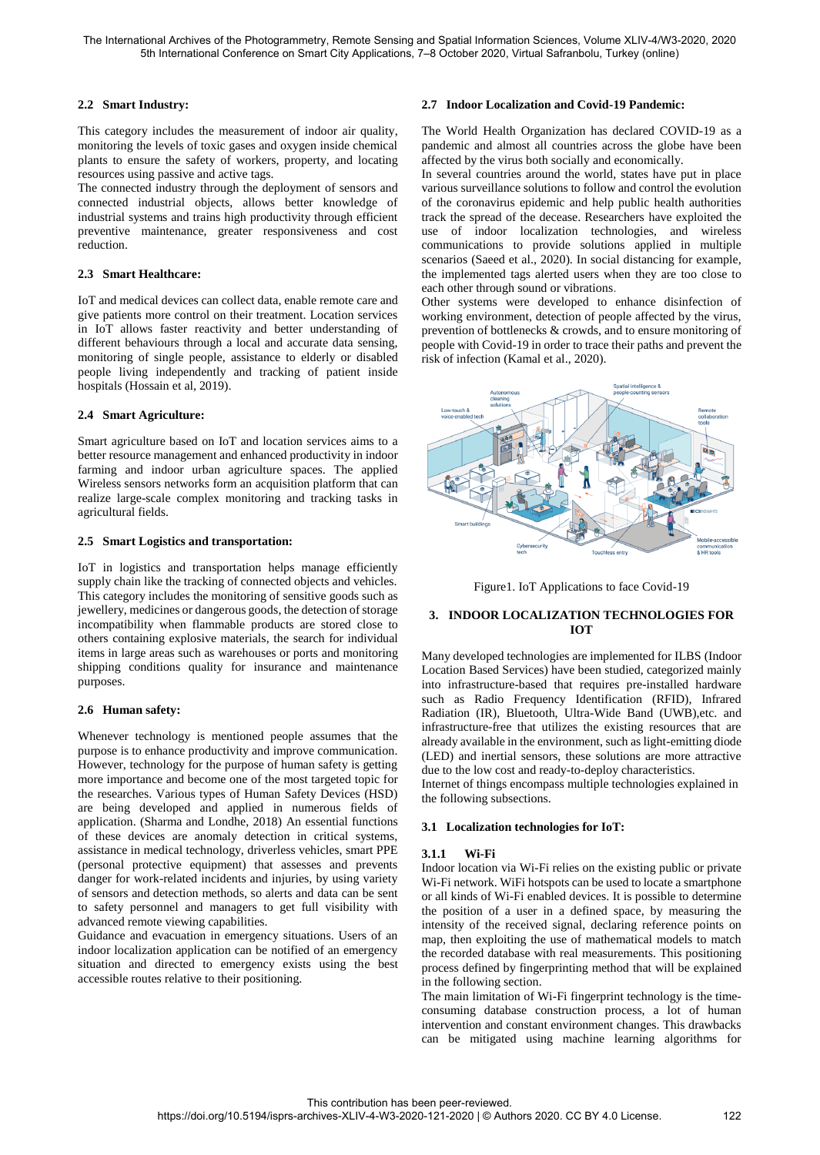# **2.2 Smart Industry:**

This category includes the measurement of indoor air quality, monitoring the levels of toxic gases and oxygen inside chemical plants to ensure the safety of workers, property, and locating resources using passive and active tags.

The connected industry through the deployment of sensors and connected industrial objects, allows better knowledge of industrial systems and trains high productivity through efficient preventive maintenance, greater responsiveness and cost reduction.

### **2.3 Smart Healthcare:**

IoT and medical devices can collect data, enable remote care and give patients more control on their treatment. Location services in IoT allows faster reactivity and better understanding of different behaviours through a local and accurate data sensing, monitoring of single people, assistance to elderly or disabled people living independently and tracking of patient inside hospitals (Hossain et al, 2019).

### **2.4 Smart Agriculture:**

Smart agriculture based on IoT and location services aims to a better resource management and enhanced productivity in indoor farming and indoor urban agriculture spaces. The applied Wireless sensors networks form an acquisition platform that can realize large-scale complex monitoring and tracking tasks in agricultural fields.

#### **2.5 Smart Logistics and transportation:**

IoT in logistics and transportation helps manage efficiently supply chain like the tracking of connected objects and vehicles. This category includes the monitoring of sensitive goods such as jewellery, medicines or dangerous goods, the detection of storage incompatibility when flammable products are stored close to others containing explosive materials, the search for individual items in large areas such as warehouses or ports and monitoring shipping conditions quality for insurance and maintenance purposes.

### **2.6 Human safety:**

Whenever technology is mentioned people assumes that the purpose is to enhance productivity and improve communication. However, technology for the purpose of human safety is getting more importance and become one of the most targeted topic for the researches. Various types of Human Safety Devices (HSD) are being developed and applied in numerous fields of application. (Sharma and Londhe, 2018) An essential functions of these devices are anomaly detection in critical systems, assistance in medical technology, driverless vehicles, smart PPE (personal protective equipment) that assesses and prevents danger for work-related incidents and injuries, by using variety of sensors and detection methods, so alerts and data can be sent to safety personnel and managers to get full visibility with advanced remote viewing capabilities.

Guidance and evacuation in emergency situations. Users of an indoor localization application can be notified of an emergency situation and directed to emergency exists using the best accessible routes relative to their positioning.

# **2.7 Indoor Localization and Covid-19 Pandemic:**

The World Health Organization has declared COVID-19 as a pandemic and almost all countries across the globe have been affected by the virus both socially and economically.

In several countries around the world, states have put in place various surveillance solutions to follow and control the evolution of the coronavirus epidemic and help public health authorities track the spread of the decease. Researchers have exploited the use of indoor localization technologies, and wireless communications to provide solutions applied in multiple scenarios (Saeed et al., 2020). In social distancing for example, the implemented tags alerted users when they are too close to each other through sound or vibrations.

Other systems were developed to enhance disinfection of working environment, detection of people affected by the virus, prevention of bottlenecks & crowds, and to ensure monitoring of people with Covid-19 in order to trace their paths and prevent the risk of infection (Kamal et al., 2020).



Figure1. IoT Applications to face Covid-19

# **3. INDOOR LOCALIZATION TECHNOLOGIES FOR IOT**

Many developed technologies are implemented for ILBS (Indoor Location Based Services) have been studied, categorized mainly into infrastructure-based that requires pre-installed hardware such as Radio Frequency Identification (RFID), Infrared Radiation (IR), Bluetooth, Ultra-Wide Band (UWB),etc. and infrastructure-free that utilizes the existing resources that are already available in the environment, such as light-emitting diode (LED) and inertial sensors, these solutions are more attractive due to the low cost and ready-to-deploy characteristics.

Internet of things encompass multiple technologies explained in the following subsections.

### **3.1 Localization technologies for IoT:**

### **3.1.1 Wi-Fi**

Indoor location via Wi-Fi relies on the existing public or private Wi-Fi network. WiFi hotspots can be used to locate a smartphone or all kinds of Wi-Fi enabled devices. It is possible to determine the position of a user in a defined space, by measuring the intensity of the received signal, declaring reference points on map, then exploiting the use of mathematical models to match the recorded database with real measurements. This positioning process defined by fingerprinting method that will be explained in the following section.

The main limitation of Wi-Fi fingerprint technology is the timeconsuming database construction process, a lot of human intervention and constant environment changes. This drawbacks can be mitigated using machine learning algorithms for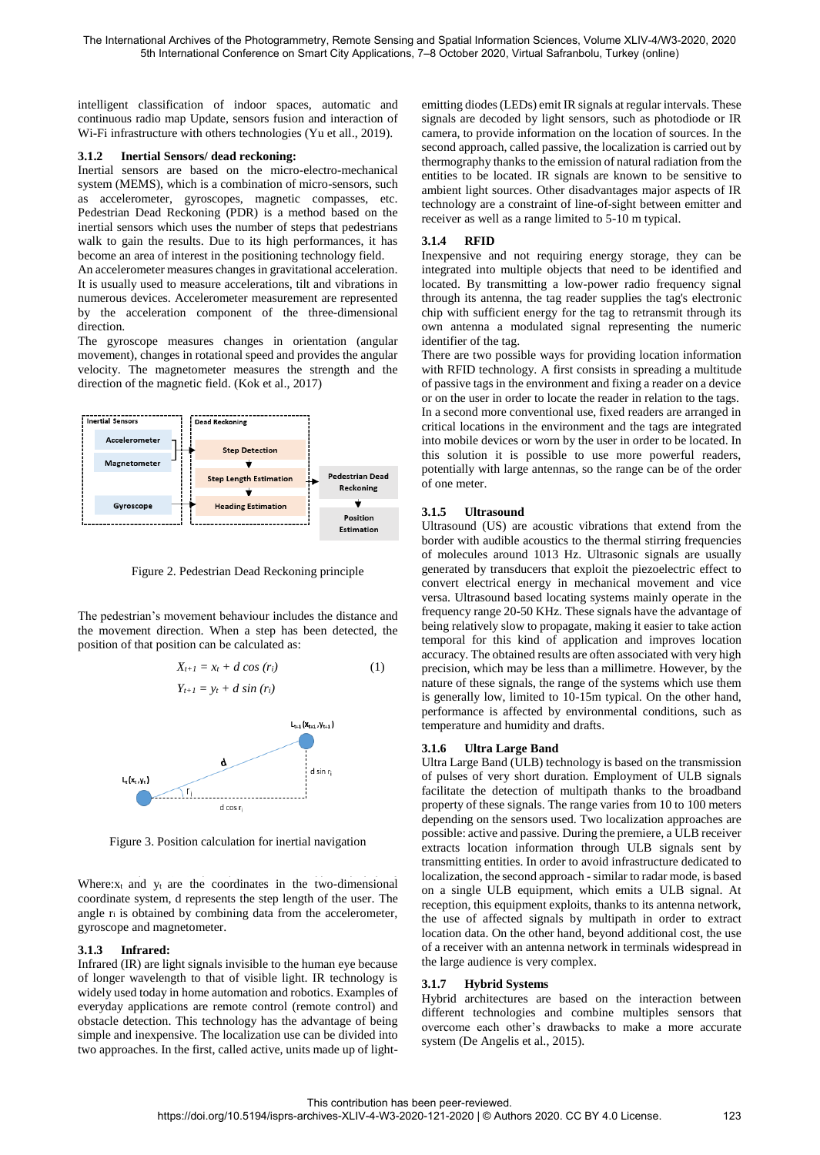intelligent classification of indoor spaces, automatic and continuous radio map Update, sensors fusion and interaction of Wi-Fi infrastructure with others technologies (Yu et all., 2019).

#### **3.1.2 Inertial Sensors/ dead reckoning:**

Inertial sensors are based on the micro-electro-mechanical system (MEMS), which is a combination of micro-sensors, such as accelerometer, gyroscopes, magnetic compasses, etc. Pedestrian Dead Reckoning (PDR) is a method based on the inertial sensors which uses the number of steps that pedestrians walk to gain the results. Due to its high performances, it has become an area of interest in the positioning technology field.

An accelerometer measures changes in gravitational acceleration. It is usually used to measure accelerations, tilt and vibrations in numerous devices. Accelerometer measurement are represented by the acceleration component of the three-dimensional direction.

The gyroscope measures changes in orientation (angular movement), changes in rotational speed and provides the angular velocity. The magnetometer measures the strength and the direction of the magnetic field. (Kok et al., 2017)



Figure 2. Pedestrian Dead Reckoning principle

The pedestrian's movement behaviour includes the distance and the movement direction. When a step has been detected, the position of that position can be calculated as:

$$
X_{t+1} = x_t + d \cos (r_i) \tag{1}
$$



 $Y_{t+1} = y_t + d \sin(r_i)$ 

Figure 3. Position calculation for inertial navigation

Where: $x_t$  and  $y_t$  are the coordinates in the two-dimensional  $10$  coordinate system,  $d$  represents the step length of the user. The angle  $r_i$  is obtained by combining data from the accelerometer, gyroscope and magnetometer.

### **3.1.3 Infrared:**

Infrared (IR) are light signals invisible to the human eye because of longer wavelength to that of visible light. IR technology is widely used today in home automation and robotics. Examples of everyday applications are remote control (remote control) and obstacle detection. This technology has the advantage of being simple and inexpensive. The localization use can be divided into two approaches. In the first, called active, units made up of lightemitting diodes (LEDs) emit IR signals at regular intervals. These signals are decoded by light sensors, such as photodiode or IR camera, to provide information on the location of sources. In the second approach, called passive, the localization is carried out by thermography thanks to the emission of natural radiation from the entities to be located. IR signals are known to be sensitive to ambient light sources. Other disadvantages major aspects of IR technology are a constraint of line-of-sight between emitter and receiver as well as a range limited to 5-10 m typical.

# **3.1.4 RFID**

Inexpensive and not requiring energy storage, they can be integrated into multiple objects that need to be identified and located. By transmitting a low-power radio frequency signal through its antenna, the tag reader supplies the tag's electronic chip with sufficient energy for the tag to retransmit through its own antenna a modulated signal representing the numeric identifier of the tag.

There are two possible ways for providing location information with RFID technology. A first consists in spreading a multitude of passive tags in the environment and fixing a reader on a device or on the user in order to locate the reader in relation to the tags. In a second more conventional use, fixed readers are arranged in critical locations in the environment and the tags are integrated into mobile devices or worn by the user in order to be located. In this solution it is possible to use more powerful readers, potentially with large antennas, so the range can be of the order of one meter.

# **3.1.5 Ultrasound**

Ultrasound (US) are acoustic vibrations that extend from the border with audible acoustics to the thermal stirring frequencies of molecules around 1013 Hz. Ultrasonic signals are usually generated by transducers that exploit the piezoelectric effect to convert electrical energy in mechanical movement and vice versa. Ultrasound based locating systems mainly operate in the frequency range 20-50 KHz. These signals have the advantage of being relatively slow to propagate, making it easier to take action temporal for this kind of application and improves location accuracy. The obtained results are often associated with very high precision, which may be less than a millimetre. However, by the nature of these signals, the range of the systems which use them is generally low, limited to 10-15m typical. On the other hand, performance is affected by environmental conditions, such as temperature and humidity and drafts.

### **3.1.6 Ultra Large Band**

Ultra Large Band (ULB) technology is based on the transmission of pulses of very short duration. Employment of ULB signals facilitate the detection of multipath thanks to the broadband property of these signals. The range varies from 10 to 100 meters depending on the sensors used. Two localization approaches are possible: active and passive. During the premiere, a ULB receiver extracts location information through ULB signals sent by transmitting entities. In order to avoid infrastructure dedicated to localization, the second approach - similar to radar mode, is based on a single ULB equipment, which emits a ULB signal. At reception, this equipment exploits, thanks to its antenna network, the use of affected signals by multipath in order to extract location data. On the other hand, beyond additional cost, the use of a receiver with an antenna network in terminals widespread in the large audience is very complex.

### **3.1.7 Hybrid Systems**

Hybrid architectures are based on the interaction between different technologies and combine multiples sensors that overcome each other's drawbacks to make a more accurate system (De Angelis et al., 2015).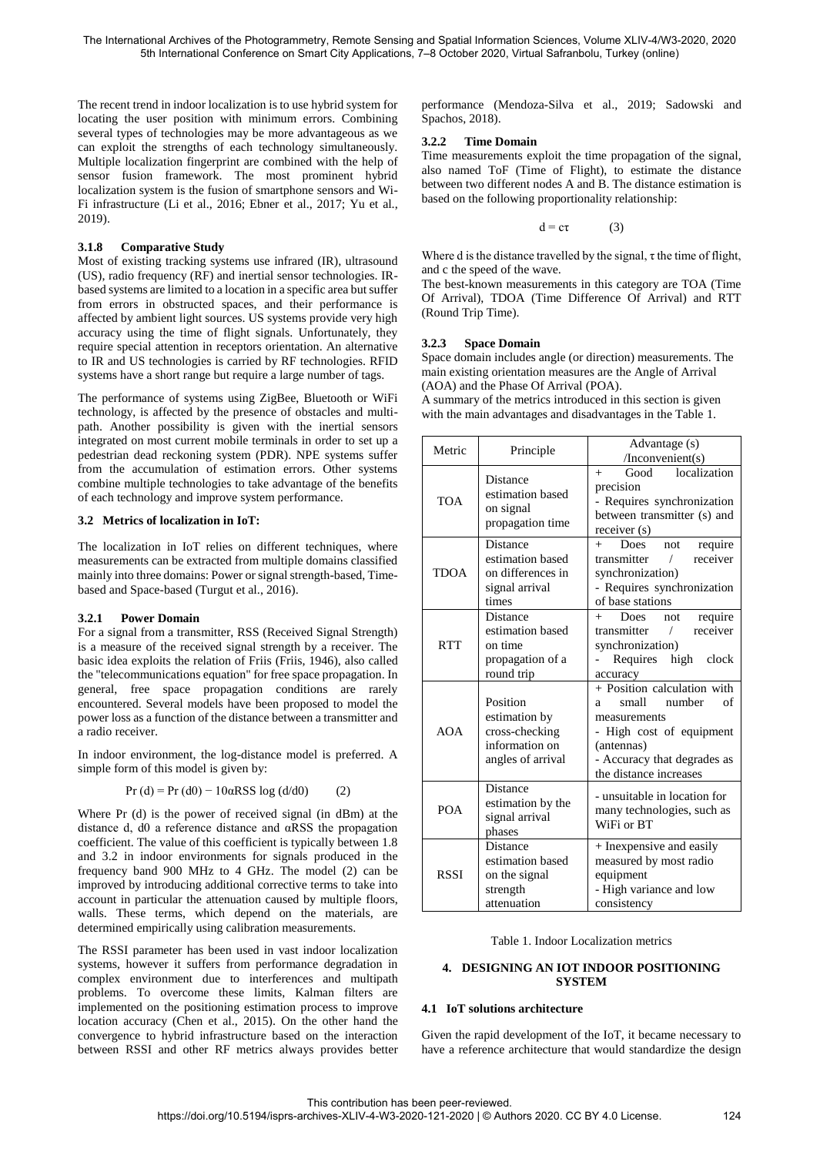The recent trend in indoor localization is to use hybrid system for locating the user position with minimum errors. Combining several types of technologies may be more advantageous as we can exploit the strengths of each technology simultaneously. Multiple localization fingerprint are combined with the help of sensor fusion framework. The most prominent hybrid localization system is the fusion of smartphone sensors and Wi-Fi infrastructure (Li et al., 2016; Ebner et al., 2017; Yu et al., 2019).

### **3.1.8 Comparative Study**

Most of existing tracking systems use infrared (IR), ultrasound (US), radio frequency (RF) and inertial sensor technologies. IRbased systems are limited to a location in a specific area but suffer from errors in obstructed spaces, and their performance is affected by ambient light sources. US systems provide very high accuracy using the time of flight signals. Unfortunately, they require special attention in receptors orientation. An alternative to IR and US technologies is carried by RF technologies. RFID systems have a short range but require a large number of tags.

The performance of systems using ZigBee, Bluetooth or WiFi technology, is affected by the presence of obstacles and multipath. Another possibility is given with the inertial sensors integrated on most current mobile terminals in order to set up a pedestrian dead reckoning system (PDR). NPE systems suffer from the accumulation of estimation errors. Other systems combine multiple technologies to take advantage of the benefits of each technology and improve system performance.

#### **3.2 Metrics of localization in IoT:**

The localization in IoT relies on different techniques, where measurements can be extracted from multiple domains classified mainly into three domains: Power or signal strength-based, Timebased and Space-based (Turgut et al., 2016).

#### **3.2.1 Power Domain**

For a signal from a transmitter, RSS (Received Signal Strength) is a measure of the received signal strength by a receiver. The basic idea exploits the relation of Friis (Friis, 1946), also called the "telecommunications equation" for free space propagation. In general, free space propagation conditions are rarely encountered. Several models have been proposed to model the power loss as a function of the distance between a transmitter and a radio receiver.

In indoor environment, the log-distance model is preferred. A simple form of this model is given by:

$$
Pr(d) = Pr(d0) - 10 \alpha RSS \log(d/d0) \tag{2}
$$

Where Pr (d) is the power of received signal (in dBm) at the distance d, d0 a reference distance and αRSS the propagation coefficient. The value of this coefficient is typically between 1.8 and 3.2 in indoor environments for signals produced in the frequency band 900 MHz to 4 GHz. The model (2) can be improved by introducing additional corrective terms to take into account in particular the attenuation caused by multiple floors, walls. These terms, which depend on the materials, are determined empirically using calibration measurements.

The RSSI parameter has been used in vast indoor localization systems, however it suffers from performance degradation in complex environment due to interferences and multipath problems. To overcome these limits, Kalman filters are implemented on the positioning estimation process to improve location accuracy (Chen et al., 2015). On the other hand the convergence to hybrid infrastructure based on the interaction between RSSI and other RF metrics always provides better

performance (Mendoza-Silva et al., 2019; Sadowski and Spachos, 2018).

#### **3.2.2 Time Domain**

Time measurements exploit the time propagation of the signal, also named ToF (Time of Flight), to estimate the distance between two different nodes A and B. The distance estimation is based on the following proportionality relationship:

$$
d = c\tau \tag{3}
$$

Where d is the distance travelled by the signal,  $\tau$  the time of flight, and c the speed of the wave.

The best-known measurements in this category are TOA (Time Of Arrival), TDOA (Time Difference Of Arrival) and RTT (Round Trip Time).

#### **3.2.3 Space Domain**

Space domain includes angle (or direction) measurements. The main existing orientation measures are the Angle of Arrival (AOA) and the Phase Of Arrival (POA).

A summary of the metrics introduced in this section is given with the main advantages and disadvantages in the Table 1.

| Metric      | Principle                                                                           | Advantage (s)<br>$/$ Inconvenient $(s)$                                                                                                                                              |
|-------------|-------------------------------------------------------------------------------------|--------------------------------------------------------------------------------------------------------------------------------------------------------------------------------------|
| <b>TOA</b>  | Distance<br>estimation based<br>on signal<br>propagation time                       | localization<br>Good<br>$+$<br>precision<br>- Requires synchronization<br>between transmitter (s) and<br>receiver (s)                                                                |
| <b>TDOA</b> | <b>Distance</b><br>estimation based<br>on differences in<br>signal arrival<br>times | require<br>Does<br>not<br>$^{+}$<br>receiver<br>transmitter<br>7<br>synchronization)<br>- Requires synchronization<br>of base stations                                               |
| <b>RTT</b>  | Distance<br>estimation based<br>on time<br>propagation of a<br>round trip           | require<br>Does<br>$^{+}$<br>not<br>receiver<br>transmitter<br>$\sqrt{2}$<br>synchronization)<br>Requires<br>high<br>clock<br>accuracy                                               |
| AOA         | Position<br>estimation by<br>cross-checking<br>information on<br>angles of arrival  | + Position calculation with<br>small<br>number<br>$\sigma$ f<br>a<br>measurements<br>- High cost of equipment<br>(antennas)<br>- Accuracy that degrades as<br>the distance increases |
| <b>POA</b>  | Distance<br>estimation by the<br>signal arrival<br>phases                           | - unsuitable in location for<br>many technologies, such as<br>WiFi or BT                                                                                                             |
| <b>RSSI</b> | Distance<br>estimation based<br>on the signal<br>strength<br>attenuation            | + Inexpensive and easily<br>measured by most radio<br>equipment<br>- High variance and low<br>consistency                                                                            |

#### Table 1. Indoor Localization metrics

#### **4. DESIGNING AN IOT INDOOR POSITIONING SYSTEM**

#### **4.1 IoT solutions architecture**

Given the rapid development of the IoT, it became necessary to have a reference architecture that would standardize the design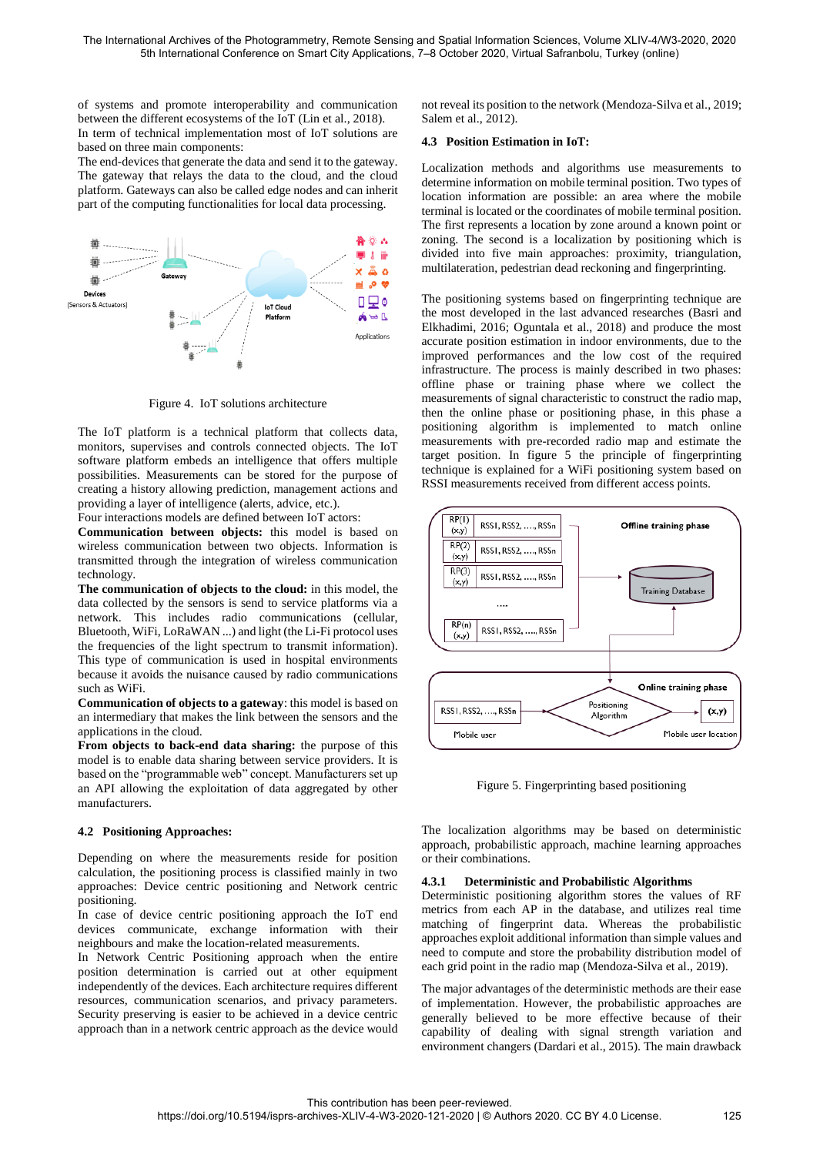of systems and promote interoperability and communication between the different ecosystems of the IoT (Lin et al., 2018). In term of technical implementation most of IoT solutions are based on three main components:

The end-devices that generate the data and send it to the gateway. The gateway that relays the data to the cloud, and the cloud platform. Gateways can also be called edge nodes and can inherit part of the computing functionalities for local data processing.



Figure 4. IoT solutions architecture

The IoT platform is a technical platform that collects data, monitors, supervises and controls connected objects. The IoT software platform embeds an intelligence that offers multiple possibilities. Measurements can be stored for the purpose of creating a history allowing prediction, management actions and providing a layer of intelligence (alerts, advice, etc.).

Four interactions models are defined between IoT actors:

**Communication between objects:** this model is based on wireless communication between two objects. Information is transmitted through the integration of wireless communication technology.

**The communication of objects to the cloud:** in this model, the data collected by the sensors is send to service platforms via a network. This includes radio communications (cellular, Bluetooth, WiFi, LoRaWAN ...) and light (the Li-Fi protocol uses the frequencies of the light spectrum to transmit information). This type of communication is used in hospital environments because it avoids the nuisance caused by radio communications such as WiFi.

**Communication of objects to a gateway**: this model is based on an intermediary that makes the link between the sensors and the applications in the cloud.

**From objects to back-end data sharing:** the purpose of this model is to enable data sharing between service providers. It is based on the "programmable web" concept. Manufacturers set up an API allowing the exploitation of data aggregated by other manufacturers.

### **4.2 Positioning Approaches:**

Depending on where the measurements reside for position calculation, the positioning process is classified mainly in two approaches: Device centric positioning and Network centric positioning.

In case of device centric positioning approach the IoT end devices communicate, exchange information with their neighbours and make the location-related measurements.

In Network Centric Positioning approach when the entire position determination is carried out at other equipment independently of the devices. Each architecture requires different resources, communication scenarios, and privacy parameters. Security preserving is easier to be achieved in a device centric approach than in a network centric approach as the device would not reveal its position to the network (Mendoza-Silva et al., 2019; Salem et al., 2012).

### **4.3 Position Estimation in IoT:**

Localization methods and algorithms use measurements to determine information on mobile terminal position. Two types of location information are possible: an area where the mobile terminal is located or the coordinates of mobile terminal position. The first represents a location by zone around a known point or zoning. The second is a localization by positioning which is divided into five main approaches: proximity, triangulation, multilateration, pedestrian dead reckoning and fingerprinting.

The positioning systems based on fingerprinting technique are the most developed in the last advanced researches (Basri and Elkhadimi, 2016; Oguntala et al., 2018) and produce the most accurate position estimation in indoor environments, due to the improved performances and the low cost of the required infrastructure. The process is mainly described in two phases: offline phase or training phase where we collect the measurements of signal characteristic to construct the radio map, then the online phase or positioning phase, in this phase a positioning algorithm is implemented to match online measurements with pre-recorded radio map and estimate the target position. In figure 5 the principle of fingerprinting technique is explained for a WiFi positioning system based on RSSI measurements received from different access points.



Figure 5. Fingerprinting based positioning

The localization algorithms may be based on deterministic approach, probabilistic approach, machine learning approaches or their combinations.

#### **4.3.1 Deterministic and Probabilistic Algorithms**

Deterministic positioning algorithm stores the values of RF metrics from each AP in the database, and utilizes real time matching of fingerprint data. Whereas the probabilistic approaches exploit additional information than simple values and need to compute and store the probability distribution model of each grid point in the radio map (Mendoza-Silva et al., 2019).

The major advantages of the deterministic methods are their ease of implementation. However, the probabilistic approaches are generally believed to be more effective because of their capability of dealing with signal strength variation and environment changers (Dardari et al., 2015). The main drawback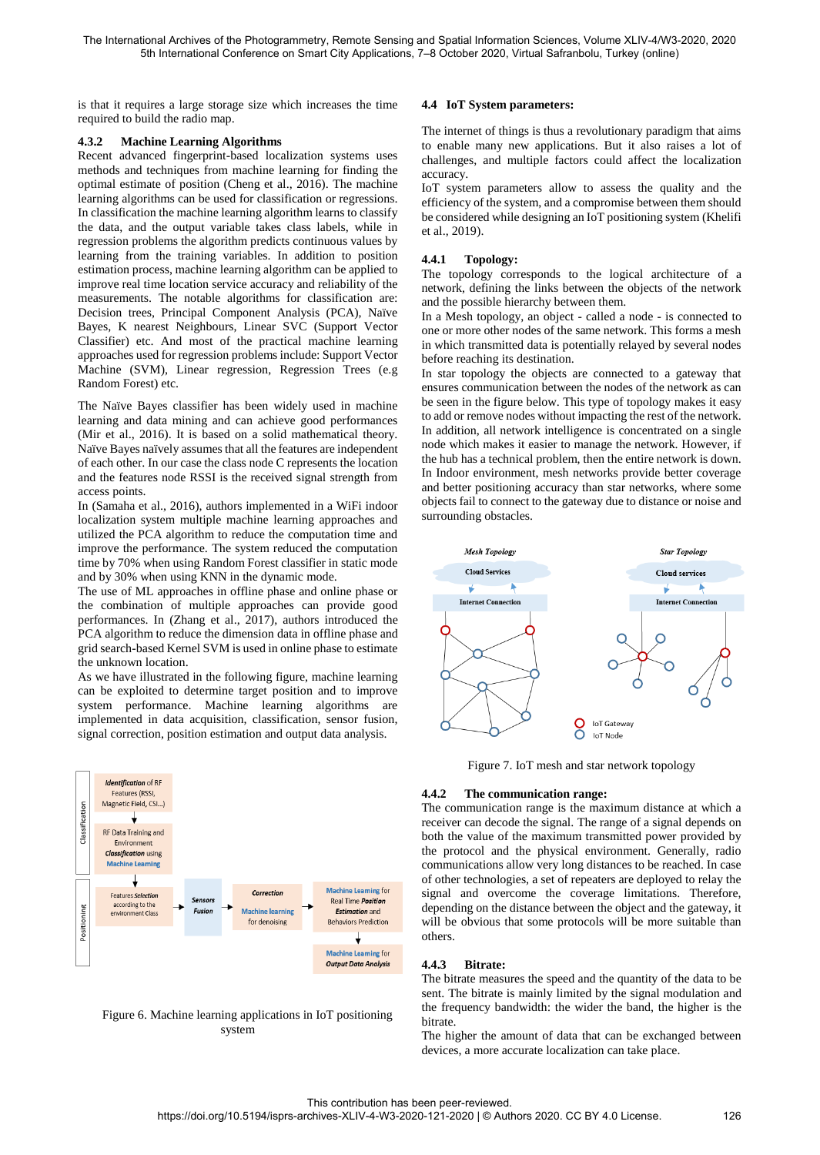is that it requires a large storage size which increases the time required to build the radio map.

### **4.3.2 Machine Learning Algorithms**

Recent advanced fingerprint-based localization systems uses methods and techniques from machine learning for finding the optimal estimate of position (Cheng et al., 2016). The machine learning algorithms can be used for classification or regressions. In classification the machine learning algorithm learns to classify the data, and the output variable takes class labels, while in regression problems the algorithm predicts continuous values by learning from the training variables. In addition to position estimation process, machine learning algorithm can be applied to improve real time location service accuracy and reliability of the measurements. The notable algorithms for classification are: Decision trees, Principal Component Analysis (PCA), Naïve Bayes, K nearest Neighbours, Linear SVC (Support Vector Classifier) etc. And most of the practical machine learning approaches used for regression problems include: Support Vector Machine (SVM), Linear regression, Regression Trees (e.g Random Forest) etc.

The Naïve Bayes classifier has been widely used in machine learning and data mining and can achieve good performances (Mir et al., 2016). It is based on a solid mathematical theory. Naïve Bayes naïvely assumes that all the features are independent of each other. In our case the class node C represents the location and the features node RSSI is the received signal strength from access points.

In (Samaha et al., 2016), authors implemented in a WiFi indoor localization system multiple machine learning approaches and utilized the PCA algorithm to reduce the computation time and improve the performance. The system reduced the computation time by 70% when using Random Forest classifier in static mode and by 30% when using KNN in the dynamic mode.

The use of ML approaches in offline phase and online phase or the combination of multiple approaches can provide good performances. In (Zhang et al., 2017), authors introduced the PCA algorithm to reduce the dimension data in offline phase and grid search-based Kernel SVM is used in online phase to estimate the unknown location.

As we have illustrated in the following figure, machine learning can be exploited to determine target position and to improve system performance. Machine learning algorithms are implemented in data acquisition, classification, sensor fusion, signal correction, position estimation and output data analysis.



Figure 6. Machine learning applications in IoT positioning system

# **4.4 IoT System parameters:**

The internet of things is thus a revolutionary paradigm that aims to enable many new applications. But it also raises a lot of challenges, and multiple factors could affect the localization accuracy.

IoT system parameters allow to assess the quality and the efficiency of the system, and a compromise between them should be considered while designing an IoT positioning system (Khelifi et al., 2019).

### **4.4.1 Topology:**

The topology corresponds to the logical architecture of a network, defining the links between the objects of the network and the possible hierarchy between them.

In a Mesh topology, an object - called a node - is connected to one or more other nodes of the same network. This forms a mesh in which transmitted data is potentially relayed by several nodes before reaching its destination.

In star topology the objects are connected to a gateway that ensures communication between the nodes of the network as can be seen in the figure below. This type of topology makes it easy to add or remove nodes without impacting the rest of the network. In addition, all network intelligence is concentrated on a single node which makes it easier to manage the network. However, if the hub has a technical problem, then the entire network is down. In Indoor environment, mesh networks provide better coverage and better positioning accuracy than star networks, where some objects fail to connect to the gateway due to distance or noise and surrounding obstacles.



Figure 7. IoT mesh and star network topology

#### **4.4.2 The communication range:**

The communication range is the maximum distance at which a receiver can decode the signal. The range of a signal depends on both the value of the maximum transmitted power provided by the protocol and the physical environment. Generally, radio communications allow very long distances to be reached. In case of other technologies, a set of repeaters are deployed to relay the signal and overcome the coverage limitations. Therefore, depending on the distance between the object and the gateway, it will be obvious that some protocols will be more suitable than others.

### **4.4.3 Bitrate:**

The bitrate measures the speed and the quantity of the data to be sent. The bitrate is mainly limited by the signal modulation and the frequency bandwidth: the wider the band, the higher is the bitrate.

The higher the amount of data that can be exchanged between devices, a more accurate localization can take place.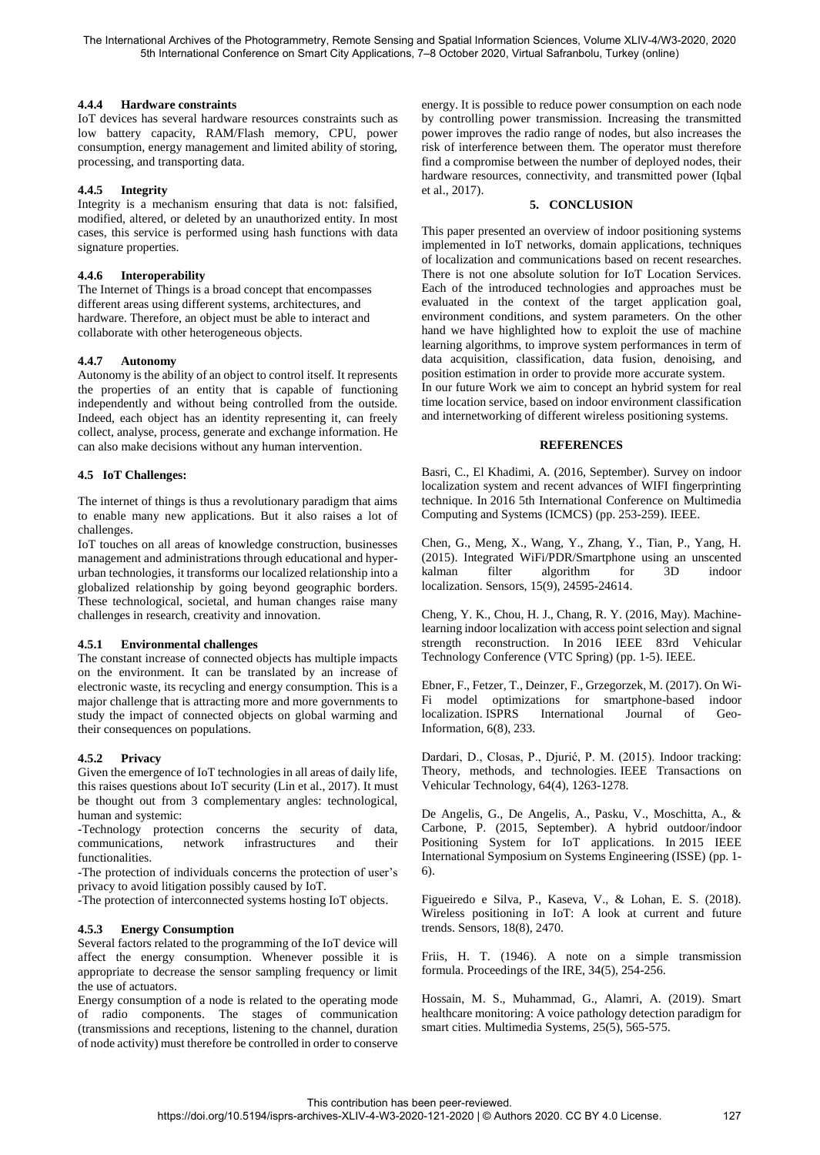# **4.4.4 Hardware constraints**

IoT devices has several hardware resources constraints such as low battery capacity, RAM/Flash memory, CPU, power consumption, energy management and limited ability of storing, processing, and transporting data.

# **4.4.5 Integrity**

Integrity is a mechanism ensuring that data is not: falsified, modified, altered, or deleted by an unauthorized entity. In most cases, this service is performed using hash functions with data signature properties.

# **4.4.6 Interoperability**

The Internet of Things is a broad concept that encompasses different areas using different systems, architectures, and hardware. Therefore, an object must be able to interact and collaborate with other heterogeneous objects.

# **4.4.7 Autonomy**

Autonomy is the ability of an object to control itself. It represents the properties of an entity that is capable of functioning independently and without being controlled from the outside. Indeed, each object has an identity representing it, can freely collect, analyse, process, generate and exchange information. He can also make decisions without any human intervention.

# **4.5 IoT Challenges:**

The internet of things is thus a revolutionary paradigm that aims to enable many new applications. But it also raises a lot of challenges.

IoT touches on all areas of knowledge construction, businesses management and administrations through educational and hyperurban technologies, it transforms our localized relationship into a globalized relationship by going beyond geographic borders. These technological, societal, and human changes raise many challenges in research, creativity and innovation.

### **4.5.1 Environmental challenges**

The constant increase of connected objects has multiple impacts on the environment. It can be translated by an increase of electronic waste, its recycling and energy consumption. This is a major challenge that is attracting more and more governments to study the impact of connected objects on global warming and their consequences on populations.

### **4.5.2 Privacy**

Given the emergence of IoT technologies in all areas of daily life, this raises questions about IoT security (Lin et al., 2017). It must be thought out from 3 complementary angles: technological, human and systemic:

-Technology protection concerns the security of data, communications, network infrastructures and their functionalities.

-The protection of individuals concerns the protection of user's privacy to avoid litigation possibly caused by IoT.

-The protection of interconnected systems hosting IoT objects.

### **4.5.3 Energy Consumption**

Several factors related to the programming of the IoT device will affect the energy consumption. Whenever possible it is appropriate to decrease the sensor sampling frequency or limit the use of actuators.

Energy consumption of a node is related to the operating mode of radio components. The stages of communication (transmissions and receptions, listening to the channel, duration of node activity) must therefore be controlled in order to conserve energy. It is possible to reduce power consumption on each node by controlling power transmission. Increasing the transmitted power improves the radio range of nodes, but also increases the risk of interference between them. The operator must therefore find a compromise between the number of deployed nodes, their hardware resources, connectivity, and transmitted power (Iqbal et al., 2017).

# **5. CONCLUSION**

This paper presented an overview of indoor positioning systems implemented in IoT networks, domain applications, techniques of localization and communications based on recent researches. There is not one absolute solution for IoT Location Services. Each of the introduced technologies and approaches must be evaluated in the context of the target application goal, environment conditions, and system parameters. On the other hand we have highlighted how to exploit the use of machine learning algorithms, to improve system performances in term of data acquisition, classification, data fusion, denoising, and position estimation in order to provide more accurate system. In our future Work we aim to concept an hybrid system for real time location service, based on indoor environment classification and internetworking of different wireless positioning systems.

# **REFERENCES**

Basri, C., El Khadimi, A. (2016, September). Survey on indoor localization system and recent advances of WIFI fingerprinting technique. In 2016 5th International Conference on Multimedia Computing and Systems (ICMCS) (pp. 253-259). IEEE.

Chen, G., Meng, X., Wang, Y., Zhang, Y., Tian, P., Yang, H. (2015). Integrated WiFi/PDR/Smartphone using an unscented kalman filter algorithm for 3D indoor localization. Sensors, 15(9), 24595-24614.

Cheng, Y. K., Chou, H. J., Chang, R. Y. (2016, May). Machinelearning indoor localization with access point selection and signal strength reconstruction. In 2016 IEEE 83rd Vehicular Technology Conference (VTC Spring) (pp. 1-5). IEEE.

Ebner, F., Fetzer, T., Deinzer, F., Grzegorzek, M. (2017). On Wi-Fi model optimizations for smartphone-based indoor localization. ISPRS International Journal of Geo-Information, 6(8), 233.

Dardari, D., Closas, P., Djurić, P. M. (2015). Indoor tracking: Theory, methods, and technologies. IEEE Transactions on Vehicular Technology, 64(4), 1263-1278.

De Angelis, G., De Angelis, A., Pasku, V., Moschitta, A., & Carbone, P. (2015, September). A hybrid outdoor/indoor Positioning System for IoT applications. In 2015 IEEE International Symposium on Systems Engineering (ISSE) (pp. 1- 6).

Figueiredo e Silva, P., Kaseva, V., & Lohan, E. S. (2018). Wireless positioning in IoT: A look at current and future trends. Sensors, 18(8), 2470.

Friis, H. T. (1946). A note on a simple transmission formula. Proceedings of the IRE, 34(5), 254-256.

Hossain, M. S., Muhammad, G., Alamri, A. (2019). Smart healthcare monitoring: A voice pathology detection paradigm for smart cities. Multimedia Systems, 25(5), 565-575.